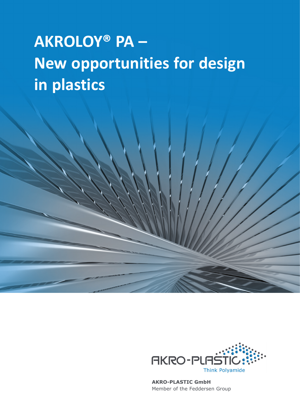# **AKROLOY® PA – New opportunities for design in plastics**



**AKRO-PLASTIC GmbH**  Member of the Feddersen Group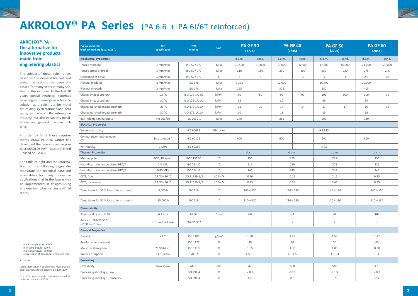$1 =$  mould temperature: 100 °C melt temperature: 320 °C injection pressure: 750 bar cross section of flow spiral: 7 mm x 3.5 mm

+ = passed

"cond." test values = conditioned, measured on test specimens stored according to ISO 1110

"d.a.m." = dry as moulded test values = residual moisture content < 0.10 %

## **AKROLOY® PA Series** (PA 6.6 + PA 6I/6T reinforced)

### **AKROLOY® PA – the alternative for innovative products made from engineering plastics**

In order to fulfill those requirements AKRO PLASTIC GmbH has developed the new innovative product AKROLOY PA® – a special blend – based on PA 6.6.

The subject of metal substitution, based on the demand for cost and weight reductions, has been discussed for many years in many sectors of the industry. In the last 10 years special synthetic materials have begun to emerge as a feasible solution as a substitute for metal die-casting, even stamped and bent parts, particularly in the automotive industry, but also in sanitary installations and general machine building.

The table at right and the information on the following pages demonstrate the technical data and possibilities for many innovative applications that in the future may be implemented in designs using engineering plastics instead of metal.

| <b>Typical values for</b><br>black colored products at 23 °C | <b>Test</b><br><b>Specification</b> | <b>Test</b><br><b>Method</b> | Unit              | <b>PA GF 30</b><br>(2718) |        | <b>PA GF 40</b><br>(2845) |        | <b>PA GF 50</b><br>(2706) |        | <b>PA GF 60</b><br>(2844) |        |
|--------------------------------------------------------------|-------------------------------------|------------------------------|-------------------|---------------------------|--------|---------------------------|--------|---------------------------|--------|---------------------------|--------|
| <b>Mechanical Properties</b>                                 |                                     |                              |                   | d.a.m.                    | cond.  | d.a.m.                    | cond.  | d.a.m.                    | cond.  | d.a.m.                    | cond.  |
| Tensile modulus                                              | $1$ mm/min                          | ISO 527-1/2                  | MPa               | 10,500                    | 10,000 | 13,000                    | 12,000 | 17,500                    | 16,500 | 21,000                    | 20,000 |
| Tensile stress at break                                      | $5$ mm/min                          | ISO 527-1/2                  | MPa               | 210                       | 180    | 230                       | 200    | 250                       | 220    | 275                       | 245    |
| Elongation at break                                          | $5 \text{ mm/min}$                  | ISO 527-1/2                  | %                 | 3                         | $3 -$  | $\overline{3}$            | 3      | 3                         | 3      | 2.5                       | 2.5    |
| Flexural modulus                                             | $2$ mm/min                          | <b>ISO 178</b>               | MPa               | 9,300                     |        | 12,000                    |        | 16,400                    |        | 20,000                    |        |
| Flexural strength                                            | $2$ mm/min                          | <b>ISO 178</b>               | MPa               | 265                       |        | 325                       |        | 380                       |        | 405                       |        |
| Charpy impact strength                                       | 23 °C                               | ISO 179-1/1eU                | kJ/m <sup>2</sup> | 80                        | 80     | 95                        | 90     | 105                       | 100    | 100                       | 95     |
| Charpy impact strength                                       | $-30 °C$                            | ISO 179-1/1eU                | kJ/m <sup>2</sup> | 65                        |        | 80                        |        | 95                        |        | 90                        |        |
| Charpy notched impact strength                               | 23 °C                               | ISO 179-1/1eA                | kJ/m <sup>2</sup> | 11                        | 10     | 14                        | 14     | 17                        | 17     | 16                        | 16     |
| Charpy notched impact strength                               | $-30 °C$                            | ISO 179-1/1eA                | kJ/m <sup>2</sup> | 10                        |        | 13                        |        | 15                        |        | 14                        |        |
| <b>Ball indentation hardness</b>                             | HB 961/30                           | ISO 2039-1                   | MPa               | 240                       |        | 265                       |        | 290                       |        | 330                       |        |
| <b>Electrical Properties</b>                                 |                                     |                              |                   |                           |        |                           |        |                           |        |                           |        |
| Volume resistivity                                           |                                     | IEC 60093                    | Ohm x m           |                           |        |                           |        | 9.1 E13                   |        |                           |        |
| Comparative tracking index,<br><b>CTI</b>                    | Test solution A                     | IEC 60112                    |                   | 600                       |        | 600                       |        | 600                       |        | 600                       |        |
| Permittivity                                                 | 1 MHz                               | <b>IEC 60250</b>             |                   |                           |        |                           |        | 4.42                      |        |                           |        |
| <b>Thermal Properties</b>                                    |                                     |                              |                   | d.a.m.                    |        | d.a.m.                    |        | d.a.m.                    |        | d.a.m.                    |        |
| Melting point                                                | DSC, 10 K/min                       | ISO 11357-1                  | $^{\circ}$ C      | 255                       |        | 255                       |        | 255                       |        | 255                       |        |
| Heat distortion temperature, HDT/A                           | 1.8 MPa                             | ISO 75-1/2                   | $^{\circ}$ C      | 215                       |        | 220                       |        | 225                       |        | 225                       |        |
| Heat distortion temperature, HDT/B                           | 0.45 MPa                            | ISO 75-1/2                   | $^{\circ}$ C      | 245                       |        | 245                       |        | 245                       |        | 245                       |        |
| CLTE, flow                                                   | $23 °C - 80 °C$                     | ISO 11359-1/2                | $1.0E-4/K$        | 0.20                      |        | 0.15                      |        | 0.15                      |        | 0.15                      |        |
| CLTE, transverse                                             | $23 °C - 80 °C$                     | ISO 11359-1/2                | $1.0E-4/K$        | 0.75                      |        | 0.70                      |        | 0.65                      |        | 0.55                      |        |
| Temp.index for 50 % loss of tens.strength                    | 5,000 h                             | <b>IEC 216</b>               | $^{\circ}$ C      | $140 - 150$               |        | $140 - 150$               |        | $140 - 150$               |        | $140 - 150$               |        |
| Temp.index for 50 % loss of tens.strength                    | 20,000 h                            | <b>IEC 216</b>               | $^{\circ}{\rm C}$ | $110 - 130$               |        | $110 - 130$               |        | $110 - 130$               |        | $110 - 130$               |        |
| Flammability                                                 |                                     |                              |                   |                           |        |                           |        |                           |        |                           |        |
| Flammability acc.UL 94                                       | $0.8$ mm                            | <b>UL 94</b>                 | Class             | HB                        |        | HB                        |        | HB                        |        | <b>HB</b>                 |        |
| Rate acc. FMVSS 302<br>$($ <100 mm/min $)$                   | > 1 mm thickness                    | <b>FMVSS 302</b>             |                   | $\pm$                     |        | $\pm$                     |        | $+$                       |        | $+$                       |        |
| <b>General Properties</b>                                    |                                     |                              |                   |                           |        |                           |        |                           |        |                           |        |
| Density                                                      | 23 °C                               | ISO 1183                     | g/cm <sup>3</sup> | 1.38                      |        | 1.48                      |        | 1.59                      |        | 1.72                      |        |
| Reinforcement content                                        |                                     | ISO 1172                     | %                 | 30                        |        | 40                        |        | 50                        |        | 60                        |        |
| Moisture absorption                                          | 70 °C/62 r.h.                       | ISO 1110                     | $\%$              | 1.55                      |        | 1.30                      |        | 1.05                      |        | 0.80                      |        |
| Water absorption                                             | 23 °C/satur.                        | ISO 62                       | $\%$              | $4.5 - 5$                 |        | $4 - 4.5$                 |        | $3.5 - 4$                 |        | $3 - 3.5$                 |        |
| Processing                                                   |                                     |                              |                   |                           |        |                           |        |                           |        |                           |        |
| Flowability                                                  | Flow spiral <sup>1</sup>            | AKRO                         | mm                | 760                       |        | 660                       |        | 540                       |        | 470                       |        |
| Processing shrinkage, flow                                   |                                     | ISO 294-4                    | %                 | $< 0.1\,$                 |        | $< 0.1\,$                 |        | $< 0.3$                   |        | ${}_{0.3}$                |        |
| Processing shrinkage, transverse                             |                                     | ISO 294-4                    | %                 |                           | 0.6    |                           | 0.6    |                           | 0.5    |                           | 0.5    |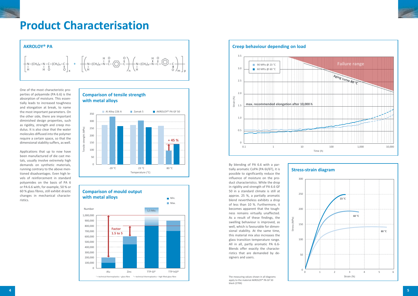

One of the most characteristic properties of polyamide (PA 6.6) is the absorption of moisture. This essentially leads to increased toughness and elongation at break, to name the most important parameters. On the other side, there are important diminished design properties, such as rigidity, strength and creep modulus. It is also clear that the water molecules diffused into the polymer require a certain space, so that the dimensional stability suffers, as well.

Applications that up to now have been manufactured of die cast metals, usually involve extremely high demands on synthetic materials, running contrary to the above mentioned disadvantages. Even high levels of reinforcement in standard polyamides on the basis of PA 6 or PA 6.6 with, for example, 50 % or 60 % glass fibres, still exhibit drastic changes in mechanical characteristics.







## 90 MPa @ 23 °C 60 MPa @ 60 °C **Creep behaviour depending on load** Strain [%] **max. recommended elongation after 10,000 h** 3.5 3.0 2.5  $2.0$ 1.5 1.0 0.5  $\Omega$

By blending of PA 6.6 with a partially aromatic CoPA (PA 6I/6T), it is possible to significantly reduce the influence of moisture on the product characteristics. While the drop in rigidity and strength of PA 6.6 GF 50 in a standard climate is still at approx. 25 %, a partially aromatic blend nevertheless exhibits a drop of less than 10 %. Furthermore, it becomes apparent that the toughness remains virtually unaffected. As a result of these findings, the swelling behaviour is improved, as well, which is favourable for dimensional stability. At the same time, this material mix also increases the glass transition temperature range. All in all, partly aromatic PA 6.6- Blends offer exactly the characteristics that are demanded by designers and users.

The measuring values shown in all diagrams apply to the material AKROLOY® PA GF 50 black (2706)

## **Product Characterisation**

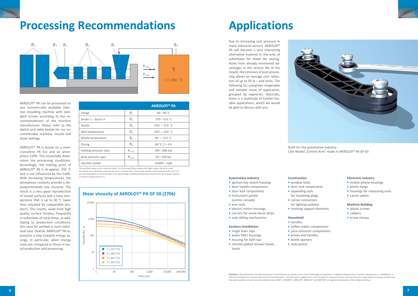CAD-Model "Control Arm" made in AKROLOY® PA GF 60

**Disclaimer:** All specifications and information given in this brochure are based on our current knowledge and experience. A legally binding promise of certain characteristics or suitability for a concrete individual case cannot be derived from this information. The information supplied here is not intended to release processors and users from the responsibility of carrying out their own tests and inspections in each concrete individual case. AKRO®, AKROMID®, AKROLEN®, AKROLOY® and AKROTEK® are registered trademarks of the Feddersen Group.

Due to increasing cost pressure in many industrial sectors, AKROLOY® PA will become a very interesting alternative material in the area of substitutes for metal die casting. Aside from already mentioned advantages in the service life of the mould, the omission of post processing allows an average cost reduction of up to 50 % – and more. The following list comprises imaginable and suitable areas of application, grouped by segments. Naturally, there is a multitude of further feasible applications, which we would be glad to discuss with you.



AKROLOY® PA can be processed on any commercially available injection moulding machine with standard screws according to the recommendations of the machine manufacturer. Please refer to the sketch and table beside for our recommended machine, mould and dryer settings.

AKROLOY® PA is based on a semicrystalline PA 6.6 and an amorphous CoPA. This essentially determines the processing conditions. Accordingly, the melting point of AKROLOY® PA is at approx. 255 °C and is not influenced by the CoPA. With increasing temperatures, the amorphous contents provide a disproportionately low viscosity. The result is a very good reproduction of mould surfaces and a mass temperature that is up to 30 °C lower than required by comparable products. This results, aside from high quality surface finishes, frequently in reductions of cycle times, as well. Owing to production conditions, this must be verified in each individual case. Overall, AKROLOY® PA represents a step towards energy savings, in particular, when energy costs are compared to those in metal production and processing.

**Construction •** window locks

**•** door lock components

**•** expanding nails

- for insulating plugs
- **•** corner connectors
- for lighting systems
- **•** shelving support elements

**Household •** handles

**•** coffee maker components **•** juice extractor components **•** knives and handles

**•** bottle openers **•** nutcrackers

Draft for the automotive industry:

### **Automotive Industry**

- **•** ignition key switch housing
- **•** door handle components
- **•** door lock components
- **•** instrument panels (centre console)
- **•** arm rests
- **•** electric motor housings
- **•** carriers for wood decor strips
- **•** seat sliding mechanisms

### **Sanitary Installation**

- **•** single lever taps
- **•** water filter housings
- **•** housing for bath tap
- **•** chrome-plated shower heads, levels

### **Electronic Industry**

- **•** mobile phone housings
- **•** plastic tongs
- **•** housings for measuring units
- **•** carrier plates



### **Machine Building**

- **•** plastic screws
- **•** calipers
- **•** screw clamps

The specified values are for reference values. For increasing filling contents the higher values should be used. For drying, we recommend using only dry air or a vacuum dryer. Processing moisture levels between 0.05 and 0.1 % are recommended.It is recommended to use opened bags completely.Material processed from silo or boxes requires a minimum drying time of 4 h.

## **Processing Recommendations 6.1 Applications**



|                         |                   | <b>AKROLOY® PA</b>  |  |  |
|-------------------------|-------------------|---------------------|--|--|
| Flange                  | $\vartheta_1$     | $40 - 80 °C$        |  |  |
| Sector $1 -$ Sector 4   | $\vartheta_2$     | $270 - 310 °C$      |  |  |
| Nozzle                  | $\vartheta_3$     | $290 - 310 °C$      |  |  |
| Melt temperature        | $\vartheta_4$     | $290 - 320 °C$      |  |  |
| Mould temperature       | $\vartheta_5$     | $80 - 130 °C$       |  |  |
| <b>Drying</b>           | $\vartheta_6$     | $80 °C$ , $2 - 4 h$ |  |  |
| Holding pressure, spec. | $P_{hold}$        | $300 - 800$ bar     |  |  |
| Back pressure, spec.    | $P_{\text{back}}$ | $50 - 150$ bar      |  |  |
| Injection speed         |                   | $middle - high$     |  |  |